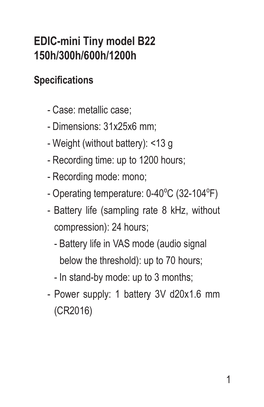# **EDIC-mini Tiny model B22 150h/300h/600h/1200h**

# **Specifications**

- Case: metallic case;
- Dimensions: 31x25x6 mm;
- Weight (without battery): <13 g
- Recording time: up to 1200 hours;
- Recording mode: mono;
- Operating temperature: 0-40°C (32-104°F)
- Battery life (sampling rate 8 kHz, without compression): 24 hours;
	- Battery life in VAS mode (audio signal below the threshold): up to 70 hours;
	- In stand-by mode: up to 3 months;
- Power supply: 1 battery 3V d20x1.6 mm (CR2016)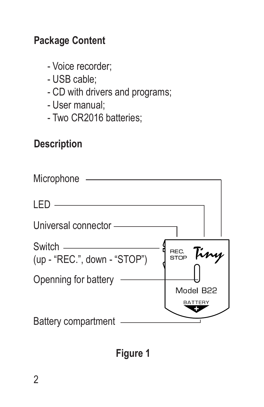### **Package Content**

- Voice recorder;
- USB cable;
- CD with drivers and programs;
- User manual;
- Two CR2016 batteries;

### **Description**

| Microphone                             |                                                 |
|----------------------------------------|-------------------------------------------------|
| I FD                                   |                                                 |
| Universal connector -                  |                                                 |
| Switch<br>(up - "REC.", down - "STOP") | $_{\tiny \text{STOP}}^{\tiny \text{REC.}}$ Tiny |
| Openning for battery                   | Model B22                                       |
| <b>Battery compartment</b>             | BATTERY                                         |

#### **Figure 1**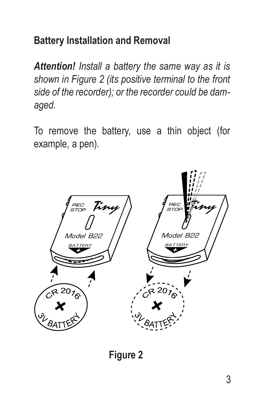### **Battery Installation and Removal**

*Attention! Install a battery the same way as it is shown in Figure 2 (its positive terminal to the front side of the recorder); or the recorder could be damaged.* 

To remove the battery, use a thin object (for example, a pen).

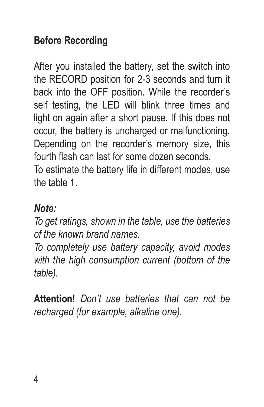# **Before Recording**

After you installed the battery, set the switch into the RECORD position for 2-3 seconds and turn it back into the OFF position. While the recorder's self testing, the LED will blink three times and light on again after a short pause. If this does not occur, the battery is uncharged or malfunctioning. Depending on the recorder's memory size, this fourth flash can last for some dozen seconds.

To estimate the battery life in different modes, use the table 1.

### *Note:*

*To get ratings, shown in the table, use the batteries of the known brand names.* 

*To completely use battery capacity, avoid modes with the high consumption current (bottom of the table).*

**Attention!** *Don't use batteries that can not be recharged (for example, alkaline one).*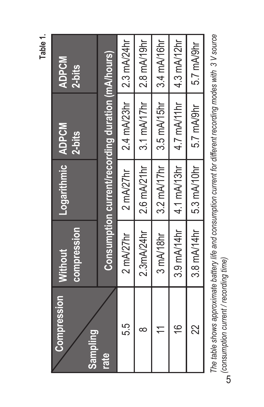**Table 1.**

| Compression<br>Sampling | compression<br><b>Without</b> | Logarithmic ADPCM | $2-bits$                                              | <b>ADPCM</b><br>$2-bits$ |
|-------------------------|-------------------------------|-------------------|-------------------------------------------------------|--------------------------|
| rate                    |                               |                   | Consumption current/recording duration (mA/hours)     |                          |
| 55                      | 2 mA/27hr                     | 2 mA/27hr         | $2.4 \text{ mA}/23$ hr   2.3 mA/24hr                  |                          |
|                         | 2.3mA/24hr                    |                   | 2.6 mA/21hr   3.1 mA/17hr   2.8 mA/19hr               |                          |
|                         | 3 mA/18hr                     |                   | $3.2 \text{ mA/17hr}$ 3.5 mA/15hr 3.4 mA/16hr         |                          |
|                         |                               |                   | 3.9 mA/14hr   4.1 mA/13hr   4.7 mA/11hr   4.3 mA/12hr |                          |
| 22                      | $3.8 \text{ mA/14hr}$         | 5.3 mA/10hr       | 5.7 mA/9hr                                            | 5.7 mA/9hr               |
|                         |                               |                   |                                                       |                          |

The table shows approximate battery life and consumption current for different recording modes with 3V source *The table shows approximate battery life and consumption current for different recording modes with 3 V source*  consumption current / recording time) *(consumption current / recording time)*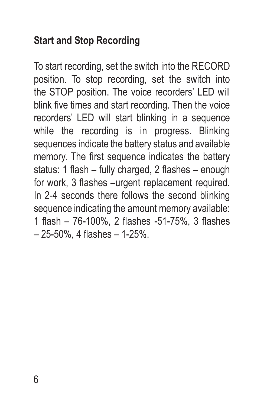### **Start and Stop Recording**

To start recording, set the switch into the RECORD position. To stop recording, set the switch into the STOP position. The voice recorders' LED will blink five times and start recording. Then the voice recorders' LED will start blinking in a sequence while the recording is in progress. Blinking sequences indicate the battery status and available memory. The first sequence indicates the battery status: 1 flash – fully charged, 2 flashes – enough for work, 3 flashes –urgent replacement required. In 2-4 seconds there follows the second blinking sequence indicating the amount memory available: 1 flash – 76-100%, 2 flashes -51-75%, 3 flashes – 25-50%, 4 flashes – 1-25%.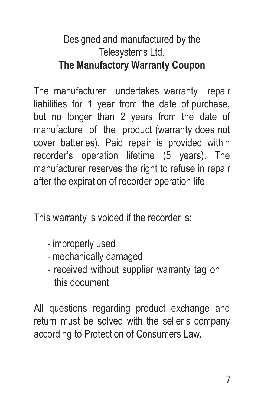# Designed and manufactured by the Telesystems Ltd. **The Manufactory Warranty Coupon**

The manufacturer undertakes warranty repair liabilities for 1 year from the date of purchase, but no longer than 2 years from the date of manufacture of the product (warranty does not cover batteries). Paid repair is provided within recorder's operation lifetime (5 years). The manufacturer reserves the right to refuse in repair after the expiration of recorder operation life.

This warranty is voided if the recorder is:

- improperly used
- mechanically damaged
- received without supplier warranty tag on this document

All questions regarding product exchange and return must be solved with the seller's company according to Protection of Consumers Law.